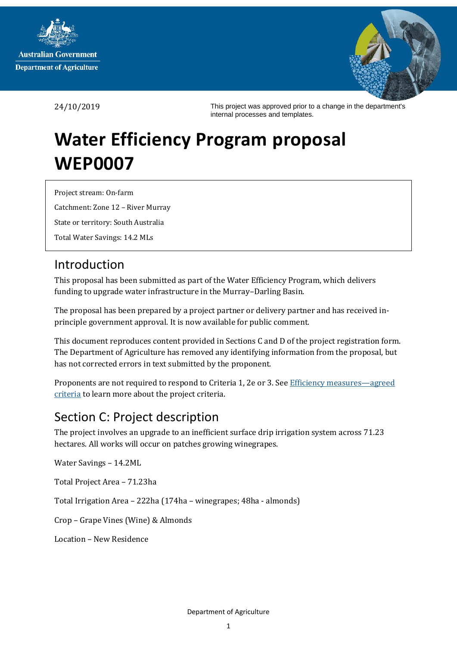



24/10/2019

This project was approved prior to a change in the department's internal processes and templates.

# **Water Efficiency Program proposal WEP0007**

Project stream: On-farm Catchment: Zone 12 – River Murray State or territory: South Australia

#### Total Water Savings: 14.2 MLs

# Introduction

This proposal has been submitted as part of the Water Efficiency Program, which delivers funding to upgrade water infrastructure in the Murray–Darling Basin.

The proposal has been prepared by a project partner or delivery partner and has received inprinciple government approval. It is now available for public comment.

This document reproduces content provided in Sections C and D of the project registration form. The Department of Agriculture has removed any identifying information from the proposal, but has not corrected errors in text submitted by the proponent.

Proponents are not required to respond to Criteria 1, 2e or 3. Se[e Efficiency measures](https://haveyoursay.agriculture.gov.au/40641/documents/)—agreed [criteria](https://haveyoursay.agriculture.gov.au/40641/documents/) to learn more about the project criteria.

# Section C: Project description

The project involves an upgrade to an inefficient surface drip irrigation system across 71.23 hectares. All works will occur on patches growing winegrapes.

Water Savings – 14.2ML

Total Project Area – 71.23ha

Total Irrigation Area – 222ha (174ha – winegrapes; 48ha - almonds)

Crop – Grape Vines (Wine) & Almonds

Location – New Residence

Department of Agriculture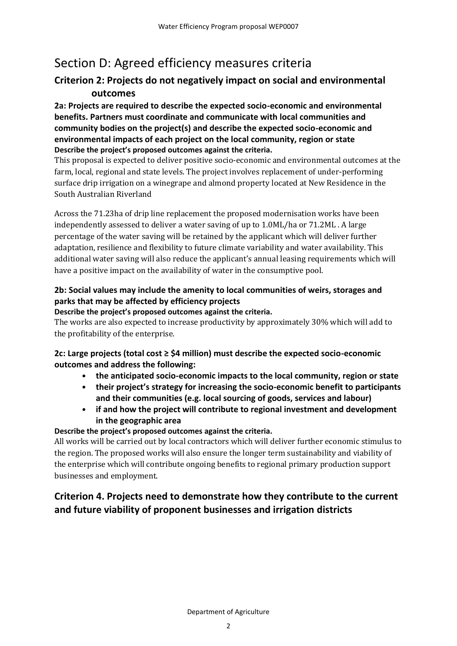# Section D: Agreed efficiency measures criteria

# **Criterion 2: Projects do not negatively impact on social and environmental outcomes**

**2a: Projects are required to describe the expected socio-economic and environmental benefits. Partners must coordinate and communicate with local communities and community bodies on the project(s) and describe the expected socio-economic and environmental impacts of each project on the local community, region or state Describe the project's proposed outcomes against the criteria.**

This proposal is expected to deliver positive socio-economic and environmental outcomes at the farm, local, regional and state levels. The project involves replacement of under-performing surface drip irrigation on a winegrape and almond property located at New Residence in the South Australian Riverland

Across the 71.23ha of drip line replacement the proposed modernisation works have been independently assessed to deliver a water saving of up to 1.0ML/ha or 71.2ML . A large percentage of the water saving will be retained by the applicant which will deliver further adaptation, resilience and flexibility to future climate variability and water availability. This additional water saving will also reduce the applicant's annual leasing requirements which will have a positive impact on the availability of water in the consumptive pool.

#### **2b: Social values may include the amenity to local communities of weirs, storages and parks that may be affected by efficiency projects**

#### **Describe the project's proposed outcomes against the criteria.**

The works are also expected to increase productivity by approximately 30% which will add to the profitability of the enterprise.

#### **2c: Large projects (total cost ≥ \$4 million) must describe the expected socio-economic outcomes and address the following:**

- **the anticipated socio-economic impacts to the local community, region or state**
- **their project's strategy for increasing the socio-economic benefit to participants and their communities (e.g. local sourcing of goods, services and labour)**
- **if and how the project will contribute to regional investment and development in the geographic area**

#### **Describe the project's proposed outcomes against the criteria.**

All works will be carried out by local contractors which will deliver further economic stimulus to the region. The proposed works will also ensure the longer term sustainability and viability of the enterprise which will contribute ongoing benefits to regional primary production support businesses and employment.

# **Criterion 4. Projects need to demonstrate how they contribute to the current and future viability of proponent businesses and irrigation districts**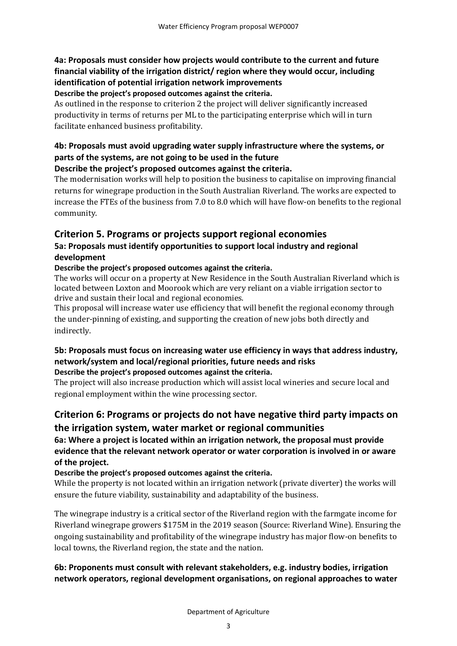#### **4a: Proposals must consider how projects would contribute to the current and future financial viability of the irrigation district/ region where they would occur, including identification of potential irrigation network improvements Describe the project's proposed outcomes against the criteria.**

As outlined in the response to criterion 2 the project will deliver significantly increased productivity in terms of returns per ML to the participating enterprise which will in turn facilitate enhanced business profitability.

# **4b: Proposals must avoid upgrading water supply infrastructure where the systems, or parts of the systems, are not going to be used in the future**

#### **Describe the project's proposed outcomes against the criteria.**

The modernisation works will help to position the business to capitalise on improving financial returns for winegrape production in the South Australian Riverland. The works are expected to increase the FTEs of the business from 7.0 to 8.0 which will have flow-on benefits to the regional community.

## **Criterion 5. Programs or projects support regional economies**

#### **5a: Proposals must identify opportunities to support local industry and regional development**

#### **Describe the project's proposed outcomes against the criteria.**

The works will occur on a property at New Residence in the South Australian Riverland which is located between Loxton and Moorook which are very reliant on a viable irrigation sector to drive and sustain their local and regional economies.

This proposal will increase water use efficiency that will benefit the regional economy through the under-pinning of existing, and supporting the creation of new jobs both directly and indirectly.

#### **5b: Proposals must focus on increasing water use efficiency in ways that address industry, network/system and local/regional priorities, future needs and risks Describe the project's proposed outcomes against the criteria.**

The project will also increase production which will assist local wineries and secure local and regional employment within the wine processing sector.

# **Criterion 6: Programs or projects do not have negative third party impacts on the irrigation system, water market or regional communities**

**6a: Where a project is located within an irrigation network, the proposal must provide evidence that the relevant network operator or water corporation is involved in or aware of the project.**

#### **Describe the project's proposed outcomes against the criteria.**

While the property is not located within an irrigation network (private diverter) the works will ensure the future viability, sustainability and adaptability of the business.

The winegrape industry is a critical sector of the Riverland region with the farmgate income for Riverland winegrape growers \$175M in the 2019 season (Source: Riverland Wine). Ensuring the ongoing sustainability and profitability of the winegrape industry has major flow-on benefits to local towns, the Riverland region, the state and the nation.

#### **6b: Proponents must consult with relevant stakeholders, e.g. industry bodies, irrigation network operators, regional development organisations, on regional approaches to water**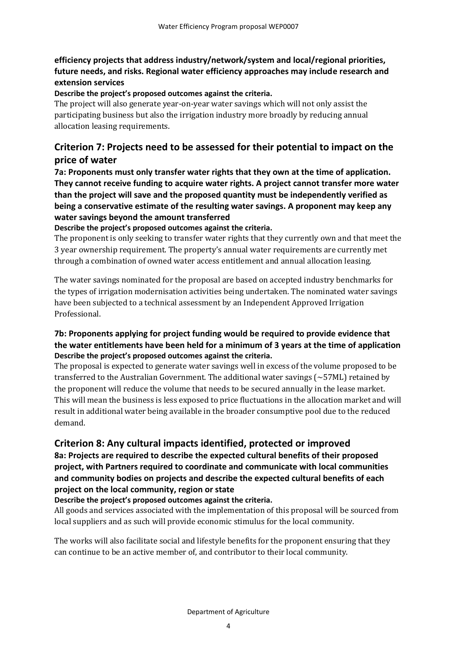#### **efficiency projects that address industry/network/system and local/regional priorities, future needs, and risks. Regional water efficiency approaches may include research and extension services**

#### **Describe the project's proposed outcomes against the criteria.**

The project will also generate year-on-year water savings which will not only assist the participating business but also the irrigation industry more broadly by reducing annual allocation leasing requirements.

## **Criterion 7: Projects need to be assessed for their potential to impact on the price of water**

**7a: Proponents must only transfer water rights that they own at the time of application. They cannot receive funding to acquire water rights. A project cannot transfer more water than the project will save and the proposed quantity must be independently verified as being a conservative estimate of the resulting water savings. A proponent may keep any water savings beyond the amount transferred**

**Describe the project's proposed outcomes against the criteria.**

The proponent is only seeking to transfer water rights that they currently own and that meet the 3 year ownership requirement. The property's annual water requirements are currently met through a combination of owned water access entitlement and annual allocation leasing.

The water savings nominated for the proposal are based on accepted industry benchmarks for the types of irrigation modernisation activities being undertaken. The nominated water savings have been subjected to a technical assessment by an Independent Approved Irrigation Professional.

#### **7b: Proponents applying for project funding would be required to provide evidence that the water entitlements have been held for a minimum of 3 years at the time of application Describe the project's proposed outcomes against the criteria.**

The proposal is expected to generate water savings well in excess of the volume proposed to be transferred to the Australian Government. The additional water savings (~57ML) retained by the proponent will reduce the volume that needs to be secured annually in the lease market. This will mean the business is less exposed to price fluctuations in the allocation market and will result in additional water being available in the broader consumptive pool due to the reduced demand.

#### **Criterion 8: Any cultural impacts identified, protected or improved**

**8a: Projects are required to describe the expected cultural benefits of their proposed project, with Partners required to coordinate and communicate with local communities and community bodies on projects and describe the expected cultural benefits of each project on the local community, region or state**

#### **Describe the project's proposed outcomes against the criteria.**

All goods and services associated with the implementation of this proposal will be sourced from local suppliers and as such will provide economic stimulus for the local community.

The works will also facilitate social and lifestyle benefits for the proponent ensuring that they can continue to be an active member of, and contributor to their local community.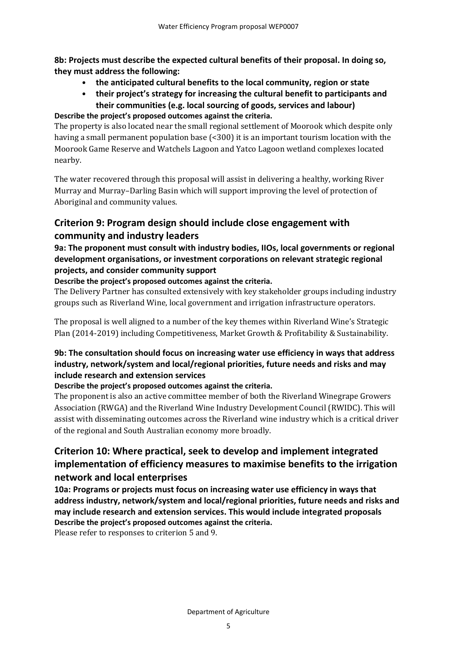**8b: Projects must describe the expected cultural benefits of their proposal. In doing so, they must address the following:**

- **the anticipated cultural benefits to the local community, region or state**
- **their project's strategy for increasing the cultural benefit to participants and their communities (e.g. local sourcing of goods, services and labour)**

#### **Describe the project's proposed outcomes against the criteria.**

The property is also located near the small regional settlement of Moorook which despite only having a small permanent population base (<300) it is an important tourism location with the Moorook Game Reserve and Watchels Lagoon and Yatco Lagoon wetland complexes located nearby.

The water recovered through this proposal will assist in delivering a healthy, working River Murray and Murray–Darling Basin which will support improving the level of protection of Aboriginal and community values.

# **Criterion 9: Program design should include close engagement with community and industry leaders**

#### **9a: The proponent must consult with industry bodies, IIOs, local governments or regional development organisations, or investment corporations on relevant strategic regional projects, and consider community support**

#### **Describe the project's proposed outcomes against the criteria.**

The Delivery Partner has consulted extensively with key stakeholder groups including industry groups such as Riverland Wine, local government and irrigation infrastructure operators.

The proposal is well aligned to a number of the key themes within Riverland Wine's Strategic Plan (2014-2019) including Competitiveness, Market Growth & Profitability & Sustainability.

#### **9b: The consultation should focus on increasing water use efficiency in ways that address industry, network/system and local/regional priorities, future needs and risks and may include research and extension services**

#### **Describe the project's proposed outcomes against the criteria.**

The proponent is also an active committee member of both the Riverland Winegrape Growers Association (RWGA) and the Riverland Wine Industry Development Council (RWIDC). This will assist with disseminating outcomes across the Riverland wine industry which is a critical driver of the regional and South Australian economy more broadly.

# **Criterion 10: Where practical, seek to develop and implement integrated implementation of efficiency measures to maximise benefits to the irrigation network and local enterprises**

**10a: Programs or projects must focus on increasing water use efficiency in ways that address industry, network/system and local/regional priorities, future needs and risks and may include research and extension services. This would include integrated proposals Describe the project's proposed outcomes against the criteria.**

Please refer to responses to criterion 5 and 9.